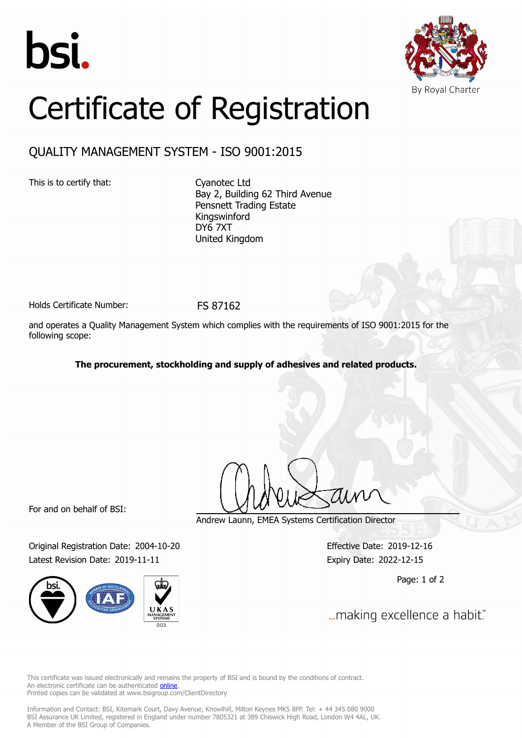



## Certificate of Registration

## QUALITY MANAGEMENT SYSTEM - ISO 9001:2015

This is to certify that: Cyanotec Ltd

Bay 2, Building 62 Third Avenue Pensnett Trading Estate Kingswinford DY6 7XT United Kingdom

Holds Certificate Number: FS 87162

and operates a Quality Management System which complies with the requirements of ISO 9001:2015 for the following scope:

**The procurement, stockholding and supply of adhesives and related products.**

For and on behalf of BSI:

Original Registration Date: 2004-10-20 Effective Date: 2019-12-16 Latest Revision Date: 2019-11-11 Expiry Date: 2022-12-15



Andrew Launn, EMEA Systems Certification Director

Page: 1 of 2

... making excellence a habit."

This certificate was issued electronically and remains the property of BSI and is bound by the conditions of contract. An electronic certificate can be authenticated **[online](https://pgplus.bsigroup.com/CertificateValidation/CertificateValidator.aspx?CertificateNumber=FS+87162&ReIssueDate=11%2f11%2f2019&Template=uk)**. Printed copies can be validated at www.bsigroup.com/ClientDirectory

Information and Contact: BSI, Kitemark Court, Davy Avenue, Knowlhill, Milton Keynes MK5 8PP. Tel: + 44 345 080 9000 BSI Assurance UK Limited, registered in England under number 7805321 at 389 Chiswick High Road, London W4 4AL, UK. A Member of the BSI Group of Companies.